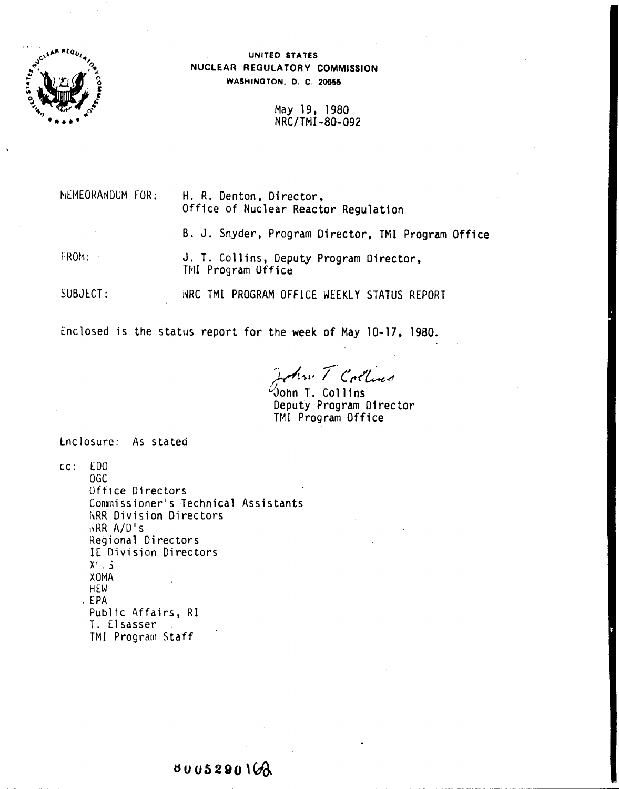

## UNITED STATES NUCLEAR REGULATORY COMMISSION WASHINGTON, D. C. 20555

May 19, 1980 NRC/TMI-80-092

MEMEORANDUM FOR: FROM: H. R. Denton. Director, Office of Nuclear Reactor Regulation B. J. Snyder. Program Director, TMI Program Office J. T. Collins, Deputy Program Oirector, TNI Program Office

SUBJECT: HRC TMI PROGRAM OFFICE WEEKLY STATUS REPORT

Enclosed is the status report for the week of May 10-17, 1980.

*~~.t' /. tttt'~.t'I*

*'I.* "John T. Collins Deputy Program Director TMI Program Office

tnclosure: As stated

cc: EDO OGe Office Directors Commissioner's Technical Assistants NRR Division Directors **INRR A/D's** Regional Directors IE Division Directors  $X'$  ,  $\mathsf{S}$ X<sub>OM</sub>A **HEW** . EPA Public Affairs, RI T. El sasser TMI Program Staff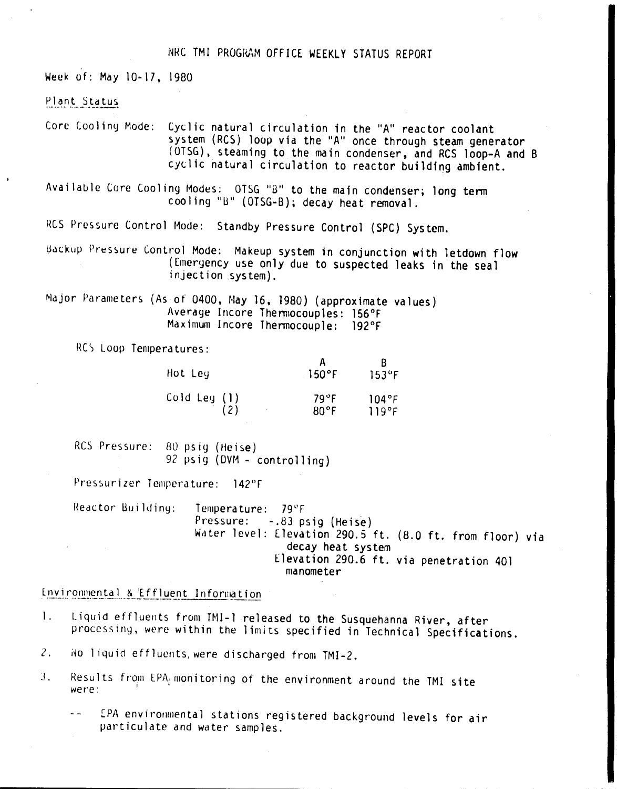## NRC TMI PROGRAM OFFICE WEEKLY STATUS REPORT

Week of: May 10-17, 1980

### Plant Status

Core Cooling Mode: Cyclic natural circulation in the "A" reactor coolant system (RCS) loop via the "A" once through steam generator (OTSG), steaming to the main condenser, and RCS loop-A and B cyclic natural circulation to reactor building ambient.

Available Core Cooling Modes: OTSG "B" to the main condenser; long term cooling "B" (OTSG-B); decay heat removal.

RCS Pressure Control Mode: Standby Pressure Control (SPC) System.

Backup Pressure Control Mode: Makeup system in conjunction with letdown flow (Emergency use only due to suspected leaks in the seal injection system).

Major Parameters (As of 0400, May 16, 1980) (approximate values) Average Incore Themiocouples: 156°F Maximum Incore Thermocouple: 192°F

RCS Loop Temperatures:

| Hot Leg      | $\cdot$ 150°F | $153^\circ F$ |
|--------------|---------------|---------------|
| Cold Leg (1) | 79°F          | 104°F         |
| (2)          | $80°$ F       | 119°F         |

RCS Pressure: 80 psig (Heise) 92 psig (DVM - controlling)

Pressurizer Temperature: 142°F

Reactor Building: Temperature: 79°F Pressure: -.83 psig (Heise) Water level: Elevation 290.5 ft. (8.0 ft. from floor) via decay heat system Elevation 290.6 ft. via penetration 401 manometer

Environmental & Effluent Information

- Liquid effluents from TMI-1 released to the Susquehanna River, after  $\mathbf{1}$ . processing, were within the limits specified in Technical Specifications.
- $2.$ No liquid effluents, were discharged from TMI-2.
- Results from EPA monitoring of the environment around the TMI site 3. were:
	- EPA environmental stations registered background levels for air particulate and water samples.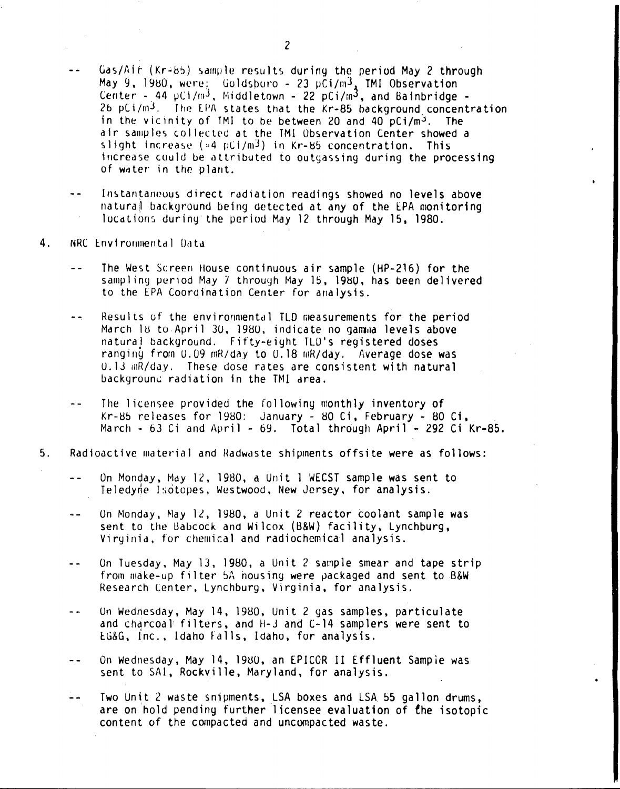- Gas/Air (Kr+85) sample results during the period May 2 through  $\sim$   $\sim$ May 9, 1980, were: Goldsboro - 23  $p\bar{C}i/m^3$ , TMI Observation<br>Center - 44  $pCi/m^3$ , Middletown - 22  $pCi/m^3$ , and Bainbridge -26 pCi/m<sup>3</sup>. The EPA states that the Kr-85 background concentration in the vicinity of TMI to be between 20 and 40 pCi/m<sup>3</sup>. The air samples collected at the TMI Observation Center showed a slight increase  $(4.4 \text{ pC})/\text{m}^3$  in Kr-85 concentration. This increase could be attributed to outgassing during the processing of water in the plant.
- Instantaneous direct radiation readings showed no levels above natural background being detected at any of the EPA monitoring locations during the period May 12 through May 15, 1980.
- $4.$ NRC Environmental Data
	- The West Screen House continuous air sample (HP-216) for the  $\sim$   $\sim$ sampling period May 7 through May 15, 1980, has been delivered to the EPA Coordination Center for analysis.
	- Results of the environmental TLD measurements for the period  $\sim$   $\sim$ March 18 to April 30, 1980, indicate no gamma levels above natural background. Fifty-eight TLD's registered doses ranging from 0.09 mR/day to 0.18 mR/day. Average dose was U.13 mR/day. These dose rates are consistent with natural background radiation in the TMI area.
	- The licensee provided the following monthly inventory of Kr-85 releases for 1980: January - 80 Ci, February - 80 Ci, March - 63 Ci and April - 69. Total through April - 292 Ci Kr-85.
- $5<sub>1</sub>$ Radioactive material and Radwaste shipments offsite were as follows:
	- On Monday, May 12, 1980, a Unit 1 WECST sample was sent to Teledyne Isotopes, Westwood, New Jersey, for analysis.
	- On Monday, May 12, 1980, a Unit 2 reactor coolant sample was  $\ddot{\phantom{a}}$ sent to the Babcock and Wilcox (B&W) facility, Lynchburg, Virginia, for chemical and radiochemical analysis.
	- On Tuesday, May 13, 1980, a Unit 2 sample smear and tape strip  $\sim$   $\sim$ from make-up filter 5A housing were packaged and sent to B&W Research Center, Lynchburg, Virginia, for analysis.
	- On Wednesday, May 14, 1980, Unit 2 gas samples, particulate  $\sim$   $\sim$ and charcoal filters, and H-3 and C-14 samplers were sent to EG&G, Inc., Idaho Falls, Idaho, for analysis.
	- On Wednesday, May 14, 1980, an EPICOR II Effluent Sample was  $-$ sent to SAI, Rockville, Maryland, for analysis.
	- Two Unit 2 waste snipments, LSA boxes and LSA 55 gallon drums,  $-$ are on hold pending further licensee evaluation of the isotopic content of the compacted and uncompacted waste.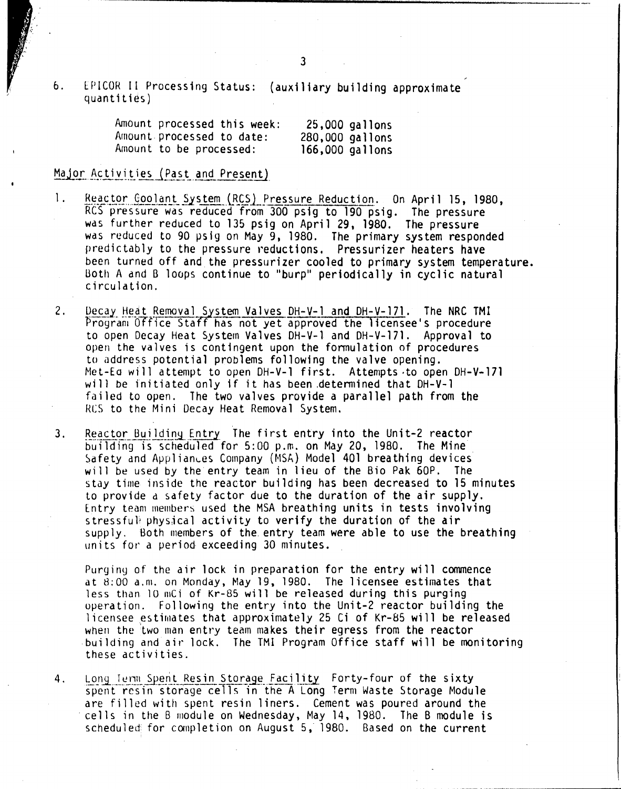6. LPICOR 11 Processing Status: (auxiliary building approximate quantities)

| Amount processed this week: |                 | 25,000 gallons  |
|-----------------------------|-----------------|-----------------|
| Amount processed to date:   | 280,000 gallons |                 |
| Amount to be processed:     |                 | 166,000 gallons |

#### Major Activities (Past and Present)

- 1. Reactor Coolant System (RCS) Pressure Reduction. On April 15, 1980, RCS pressure was reduced from 300 psig to 190 psig. The pressure was further reduced to 135 psig on April 29, 1980. The pressure was reduced to 90 psig on May 9, 1980. The primary system responded predictably to the pressure reductions. Pressurizer heaters have been turned off and the pressurizer cooled to primary system temperature. Both A and B loops continue to "burp" periodically in cyclic natural circulation.
- 2. Decay Heat Removal System Valves DH-V-1 and DH-V-171. The NRC TMI Program Office Staff has not yet approved the licensee's procedure to open Decay Heat System Valves DH-V-l and DH-V-171. Approval to open the valves is contingent upon the fonnulation of procedures to address potential problems following the valve opening. Met-Eo will attempt to open DH-V-I first. Attempts .to open DH-V-l71 will be initiated only if it has been ,detennined that DH-V-I failed to open. The two valves provide a parallel path from the Res to the Mini Decay Heat Removal System.
- 3. Reactor Building Entry The first entry into the Unit-2 reactor building is scheduled for 5:00 p.m. on May 20, 1980. The Mine Safety and Appliances Company (MSA) Model 401 breathing devices will be used by the entry team in lieu of the Bio Pak 60P. The stay time inside the reactor building has been decreased to 15 minutes to provide d safety factor due to the duration of the air supply. Entry team members used the MSA breathing units in tests involving stressfull physical activity to verify the duration of the air supply. Both members of the. entry team were able to use the breathing units for a period exceeding 30 minutes.

Purging of the air lock in preparation for the entry will commence at  $8:00$  a.m. on Monday, May 19, 1980. The licensee estimates that less than 10 mCi of Kr-85 will be released during this purging operation. Following the entry into the Unit-2 reactor building the licensee estimates that approximately 25 Ci of Kr-85 will be released when the two man entry team makes their egress from the reactor building and air lock. The TMI Program Office staff will be monitoring these activities.

4. Long Term Spent Resin Storage Facility Forty-four of the sixt spent resin storage cells in the A Long Term Waste Storage Module are filled with spent resin liners. Cement was poured around the cells in the B module on Wednesday, May 14, 1980. The B module is scheduled for completion on August 5, 1980. Based on the current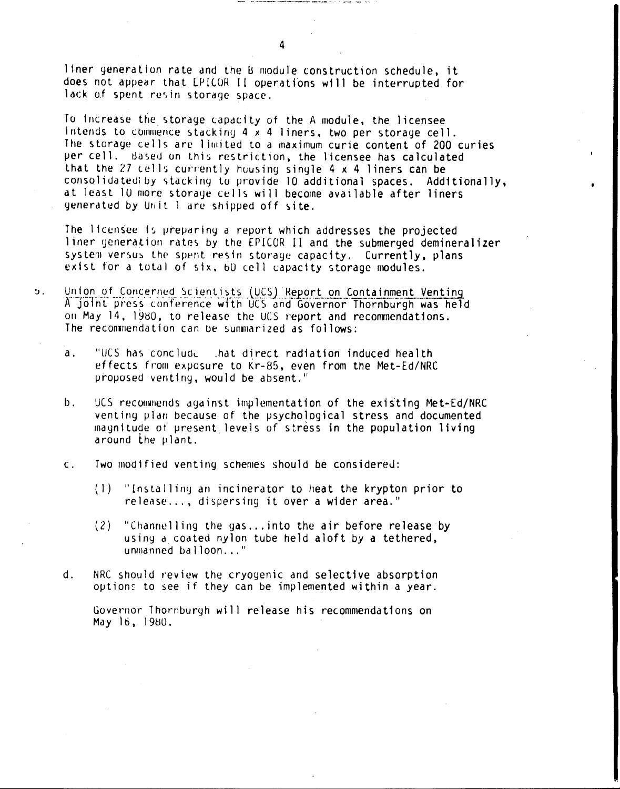liner generation rate and the B module construction schedule, it does not appear that EPICOR II operations will be interrupted for lack of spent resin storage space.

To increase the storage capacity of the A module, the licensee intends to commence stacking 4 x 4 liners, two per storage cell. The storage cells are limited to a maximum curie content of 200 curies per cell. Based on this restriction, the licensee has calculated that the  $27$  cells currently housing single  $4 \times 4$  liners can be consolidated by stacking to provide 10 additional spaces. Additionally, at least 10 more storage cells will become available after liners generated by Unit 1 are shipped off site.

The licensee is preparing a report which addresses the projected liner generation rates by the EPICOR II and the submerged demineralizer system versus the spent resin storage capacity. Currently, plans exist for a total of six, 60 cell capacity storage modules.

- Union of Concerned Scientists (UCS) Report on Containment Venting ່ນ. A joint press conference with UCS and Governor Thornburgh was held on May 14, 1980, to release the UCS report and recommendations. The recommendation can be summarized as follows:
	- "UCS has conclude that direct radiation induced health  $\mathbf{a}$ . effects from exposure to Kr-85, even from the Met-Ed/NRC proposed venting, would be absent."
	- $b.$ UCS recommends against implementation of the existing Met-Ed/NRC venting plan because of the psychological stress and documented magnitude of present levels of stress in the population living around the plant.
	- $\mathbf{c}$ . Two modified venting schemes should be considered:
		- (1) "Installing an incinerator to heat the krypton prior to release..., dispersing it over a wider area."
		- $(2)$ "Channelling the gas...into the air before release by using a coated nylon tube held aloft by a tethered, unmanned balloon..."
	- $\mathbf d$ . NRC should review the cryogenic and selective absorption options to see if they can be implemented within a year.

Governor Ihornburgh will release his recommendations on May 16, 1980.